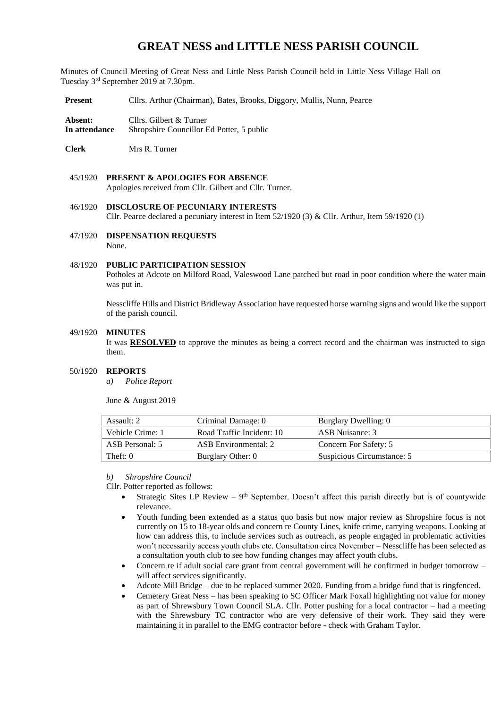## **GREAT NESS and LITTLE NESS PARISH COUNCIL**

Minutes of Council Meeting of Great Ness and Little Ness Parish Council held in Little Ness Village Hall on Tuesday 3 rd September 2019 at 7.30pm.

**Present** Cllrs. Arthur (Chairman), Bates, Brooks, Diggory, Mullis, Nunn, Pearce

**Absent:** Cllrs. Gilbert & Turner **In attendance** Shropshire Councillor Ed Potter, 5 public

**Clerk** Mrs R. Turner

- 45/1920 **PRESENT & APOLOGIES FOR ABSENCE**  Apologies received from Cllr. Gilbert and Cllr. Turner.
- 46/1920 **DISCLOSURE OF PECUNIARY INTERESTS** Cllr. Pearce declared a pecuniary interest in Item 52/1920 (3) & Cllr. Arthur, Item 59/1920 (1)
- 47/1920 **DISPENSATION REQUESTS** None.

### 48/1920 **PUBLIC PARTICIPATION SESSION**

Potholes at Adcote on Milford Road, Valeswood Lane patched but road in poor condition where the water main was put in.

Nesscliffe Hills and District Bridleway Association have requested horse warning signs and would like the support of the parish council.

#### 49/1920 **MINUTES**

It was **RESOLVED** to approve the minutes as being a correct record and the chairman was instructed to sign them.

### 50/1920 **REPORTS**

*a) Police Report* 

June & August 2019

| Assault: 2<br>Criminal Damage: 0 |                           | Burglary Dwelling: 0       |  |  |
|----------------------------------|---------------------------|----------------------------|--|--|
| Vehicle Crime: 1                 | Road Traffic Incident: 10 | ASB Nuisance: 3            |  |  |
| ASB Personal: 5                  | ASB Environmental: 2      | Concern For Safety: 5      |  |  |
| Theft: 0                         | Burglary Other: 0         | Suspicious Circumstance: 5 |  |  |

*b) Shropshire Council* 

Cllr. Potter reported as follows:

- Strategic Sites LP Review  $-9$ <sup>th</sup> September. Doesn't affect this parish directly but is of countywide relevance.
- Youth funding been extended as a status quo basis but now major review as Shropshire focus is not currently on 15 to 18-year olds and concern re County Lines, knife crime, carrying weapons. Looking at how can address this, to include services such as outreach, as people engaged in problematic activities won't necessarily access youth clubs etc. Consultation circa November – Nesscliffe has been selected as a consultation youth club to see how funding changes may affect youth clubs.
- Concern re if adult social care grant from central government will be confirmed in budget tomorrow will affect services significantly.
- Adcote Mill Bridge due to be replaced summer 2020. Funding from a bridge fund that is ringfenced.
- Cemetery Great Ness has been speaking to SC Officer Mark Foxall highlighting not value for money as part of Shrewsbury Town Council SLA. Cllr. Potter pushing for a local contractor – had a meeting with the Shrewsbury TC contractor who are very defensive of their work. They said they were maintaining it in parallel to the EMG contractor before - check with Graham Taylor.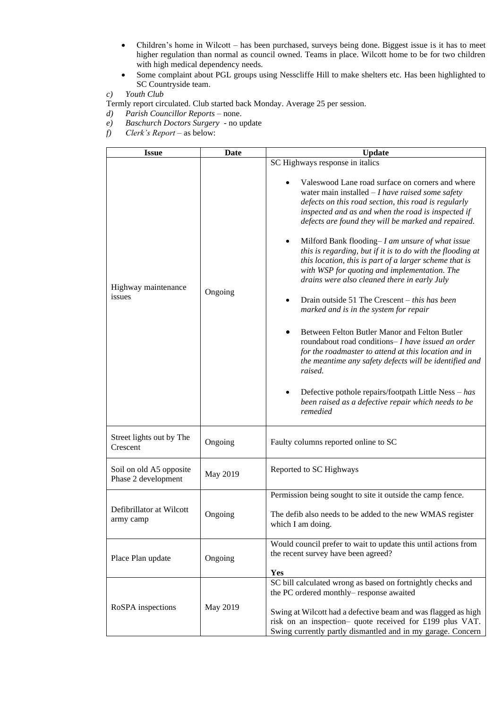- Children's home in Wilcott has been purchased, surveys being done. Biggest issue is it has to meet higher regulation than normal as council owned. Teams in place. Wilcott home to be for two children with high medical dependency needs.
- Some complaint about PGL groups using Nesscliffe Hill to make shelters etc. Has been highlighted to SC Countryside team.
- *c) Youth Club*

Termly report circulated. Club started back Monday. Average 25 per session.

*d) Parish Councillor Reports* – none.

- *e) Baschurch Doctors Surgery -* no update
- *f) Clerk's Report* as below:

| <b>Issue</b>                                   | Date     | <b>Update</b>                                                                                                                                                                                                                                                                                                                                                                                                                                                                                                                                                                                                                                                                                                                                                                                                                                                                                                                                                                                                                       |  |  |  |  |
|------------------------------------------------|----------|-------------------------------------------------------------------------------------------------------------------------------------------------------------------------------------------------------------------------------------------------------------------------------------------------------------------------------------------------------------------------------------------------------------------------------------------------------------------------------------------------------------------------------------------------------------------------------------------------------------------------------------------------------------------------------------------------------------------------------------------------------------------------------------------------------------------------------------------------------------------------------------------------------------------------------------------------------------------------------------------------------------------------------------|--|--|--|--|
|                                                |          | SC Highways response in italics                                                                                                                                                                                                                                                                                                                                                                                                                                                                                                                                                                                                                                                                                                                                                                                                                                                                                                                                                                                                     |  |  |  |  |
| Highway maintenance<br>issues                  | Ongoing  | Valeswood Lane road surface on corners and where<br>water main installed $-I$ have raised some safety<br>defects on this road section, this road is regularly<br>inspected and as and when the road is inspected if<br>defects are found they will be marked and repaired.<br>Milford Bank flooding– $I$ am unsure of what issue<br>this is regarding, but if it is to do with the flooding at<br>this location, this is part of a larger scheme that is<br>with WSP for quoting and implementation. The<br>drains were also cleaned there in early July<br>Drain outside 51 The Crescent $-$ this has been<br>$\bullet$<br>marked and is in the system for repair<br>Between Felton Butler Manor and Felton Butler<br>roundabout road conditions- I have issued an order<br>for the roadmaster to attend at this location and in<br>the meantime any safety defects will be identified and<br>raised.<br>Defective pothole repairs/footpath Little Ness $- has$<br>been raised as a defective repair which needs to be<br>remedied |  |  |  |  |
| Street lights out by The<br>Crescent           | Ongoing  | Faulty columns reported online to SC                                                                                                                                                                                                                                                                                                                                                                                                                                                                                                                                                                                                                                                                                                                                                                                                                                                                                                                                                                                                |  |  |  |  |
| Soil on old A5 opposite<br>Phase 2 development | May 2019 | Reported to SC Highways                                                                                                                                                                                                                                                                                                                                                                                                                                                                                                                                                                                                                                                                                                                                                                                                                                                                                                                                                                                                             |  |  |  |  |
|                                                |          | Permission being sought to site it outside the camp fence.                                                                                                                                                                                                                                                                                                                                                                                                                                                                                                                                                                                                                                                                                                                                                                                                                                                                                                                                                                          |  |  |  |  |
| Defibrillator at Wilcott<br>army camp          | Ongoing  | The defib also needs to be added to the new WMAS register<br>which I am doing.                                                                                                                                                                                                                                                                                                                                                                                                                                                                                                                                                                                                                                                                                                                                                                                                                                                                                                                                                      |  |  |  |  |
| Place Plan update                              | Ongoing  | Would council prefer to wait to update this until actions from<br>the recent survey have been agreed?<br>Yes                                                                                                                                                                                                                                                                                                                                                                                                                                                                                                                                                                                                                                                                                                                                                                                                                                                                                                                        |  |  |  |  |
| RoSPA inspections                              | May 2019 | SC bill calculated wrong as based on fortnightly checks and<br>the PC ordered monthly-response awaited<br>Swing at Wilcott had a defective beam and was flagged as high<br>risk on an inspection- quote received for £199 plus VAT.<br>Swing currently partly dismantled and in my garage. Concern                                                                                                                                                                                                                                                                                                                                                                                                                                                                                                                                                                                                                                                                                                                                  |  |  |  |  |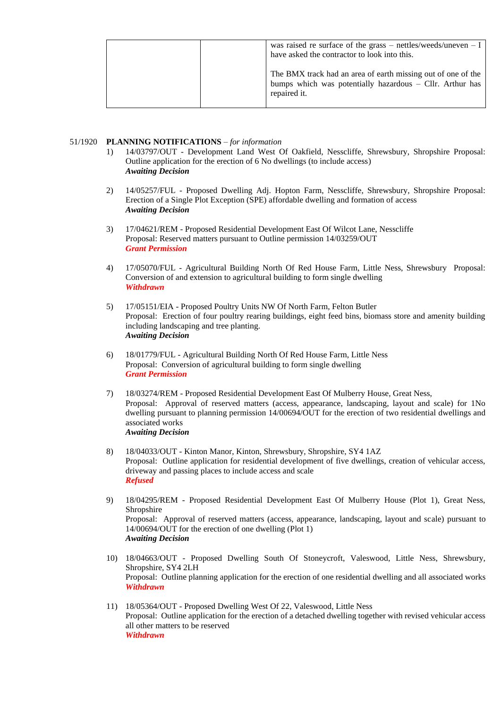|  | was raised re surface of the grass – nettles/weeds/uneven – I<br>have asked the contractor to look into this.                              |
|--|--------------------------------------------------------------------------------------------------------------------------------------------|
|  | The BMX track had an area of earth missing out of one of the<br>bumps which was potentially hazardous $-$ Cllr. Arthur has<br>repaired it. |

### 51/1920 **PLANNING NOTIFICATIONS** – *for information*

- 1) 14/03797/OUT Development Land West Of Oakfield, Nesscliffe, Shrewsbury, Shropshire Proposal: Outline application for the erection of 6 No dwellings (to include access) *Awaiting Decision*
- 2) 14/05257/FUL Proposed Dwelling Adj. Hopton Farm, Nesscliffe, Shrewsbury, Shropshire Proposal: Erection of a Single Plot Exception (SPE) affordable dwelling and formation of access *Awaiting Decision*
- 3) 17/04621/REM Proposed Residential Development East Of Wilcot Lane, Nesscliffe Proposal: Reserved matters pursuant to Outline permission 14/03259/OUT *Grant Permission*
- 4) 17/05070/FUL Agricultural Building North Of Red House Farm, Little Ness, Shrewsbury Proposal: Conversion of and extension to agricultural building to form single dwelling *Withdrawn*
- 5) 17/05151/EIA Proposed Poultry Units NW Of North Farm, Felton Butler Proposal: Erection of four poultry rearing buildings, eight feed bins, biomass store and amenity building including landscaping and tree planting. *Awaiting Decision*
- 6) 18/01779/FUL Agricultural Building North Of Red House Farm, Little Ness Proposal: Conversion of agricultural building to form single dwelling *Grant Permission*
- 7) 18/03274/REM Proposed Residential Development East Of Mulberry House, Great Ness, Proposal: Approval of reserved matters (access, appearance, landscaping, layout and scale) for 1No dwelling pursuant to planning permission 14/00694/OUT for the erection of two residential dwellings and associated works *Awaiting Decision*
- 8) 18/04033/OUT Kinton Manor, Kinton, Shrewsbury, Shropshire, SY4 1AZ Proposal: Outline application for residential development of five dwellings, creation of vehicular access, driveway and passing places to include access and scale *Refused*
- 9) 18/04295/REM Proposed Residential Development East Of Mulberry House (Plot 1), Great Ness, Shropshire Proposal: Approval of reserved matters (access, appearance, landscaping, layout and scale) pursuant to 14/00694/OUT for the erection of one dwelling (Plot 1) *Awaiting Decision*
- 10) 18/04663/OUT Proposed Dwelling South Of Stoneycroft, Valeswood, Little Ness, Shrewsbury, Shropshire, SY4 2LH Proposal: Outline planning application for the erection of one residential dwelling and all associated works *Withdrawn*
- 11) 18/05364/OUT Proposed Dwelling West Of 22, Valeswood, Little Ness Proposal: Outline application for the erection of a detached dwelling together with revised vehicular access all other matters to be reserved *Withdrawn*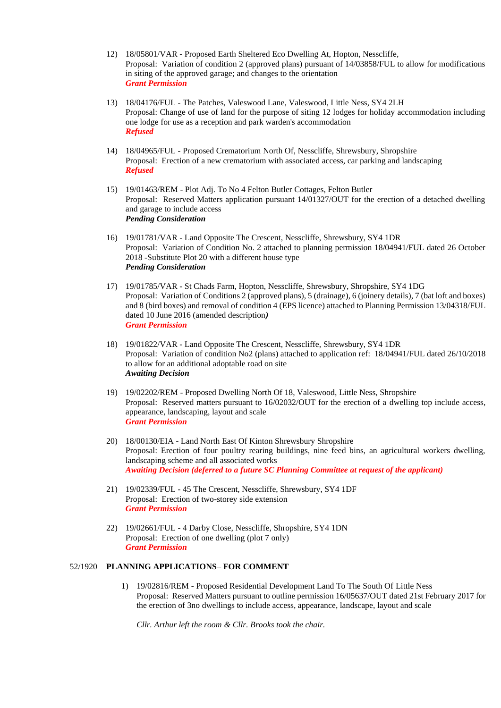- 12) 18/05801/VAR Proposed Earth Sheltered Eco Dwelling At, Hopton, Nesscliffe, Proposal: Variation of condition 2 (approved plans) pursuant of 14/03858/FUL to allow for modifications in siting of the approved garage; and changes to the orientation *Grant Permission*
- 13) 18/04176/FUL The Patches, Valeswood Lane, Valeswood, Little Ness, SY4 2LH Proposal: Change of use of land for the purpose of siting 12 lodges for holiday accommodation including one lodge for use as a reception and park warden's accommodation *Refused*
- 14) 18/04965/FUL Proposed Crematorium North Of, Nesscliffe, Shrewsbury, Shropshire Proposal: Erection of a new crematorium with associated access, car parking and landscaping *Refused*
- 15) 19/01463/REM Plot Adj. To No 4 Felton Butler Cottages, Felton Butler Proposal: Reserved Matters application pursuant 14/01327/OUT for the erection of a detached dwelling and garage to include access *Pending Consideration*
- 16) 19/01781/VAR Land Opposite The Crescent, Nesscliffe, Shrewsbury, SY4 1DR Proposal: Variation of Condition No. 2 attached to planning permission 18/04941/FUL dated 26 October 2018 -Substitute Plot 20 with a different house type *Pending Consideration*
- 17) 19/01785/VAR St Chads Farm, Hopton, Nesscliffe, Shrewsbury, Shropshire, SY4 1DG Proposal: Variation of Conditions 2 (approved plans), 5 (drainage), 6 (joinery details), 7 (bat loft and boxes) and 8 (bird boxes) and removal of condition 4 (EPS licence) attached to Planning Permission 13/04318/FUL dated 10 June 2016 (amended description*) Grant Permission*
- 18) 19/01822/VAR Land Opposite The Crescent, Nesscliffe, Shrewsbury, SY4 1DR Proposal: Variation of condition No2 (plans) attached to application ref: 18/04941/FUL dated 26/10/2018 to allow for an additional adoptable road on site *Awaiting Decision*
- 19) 19/02202/REM Proposed Dwelling North Of 18, Valeswood, Little Ness, Shropshire Proposal: Reserved matters pursuant to 16/02032/OUT for the erection of a dwelling top include access, appearance, landscaping, layout and scale *Grant Permission*
- 20) 18/00130/EIA Land North East Of Kinton Shrewsbury Shropshire Proposal: Erection of four poultry rearing buildings, nine feed bins, an agricultural workers dwelling, landscaping scheme and all associated works *Awaiting Decision (deferred to a future SC Planning Committee at request of the applicant)*
- 21) 19/02339/FUL 45 The Crescent, Nesscliffe, Shrewsbury, SY4 1DF Proposal: Erection of two-storey side extension *Grant Permission*
- 22) 19/02661/FUL 4 Darby Close, Nesscliffe, Shropshire, SY4 1DN Proposal: Erection of one dwelling (plot 7 only) *Grant Permission*

### 52/1920 **PLANNING APPLICATIONS**– **FOR COMMENT**

1) 19/02816/REM - Proposed Residential Development Land To The South Of Little Ness Proposal: Reserved Matters pursuant to outline permission 16/05637/OUT dated 21st February 2017 for the erection of 3no dwellings to include access, appearance, landscape, layout and scale

*Cllr. Arthur left the room & Cllr. Brooks took the chair.*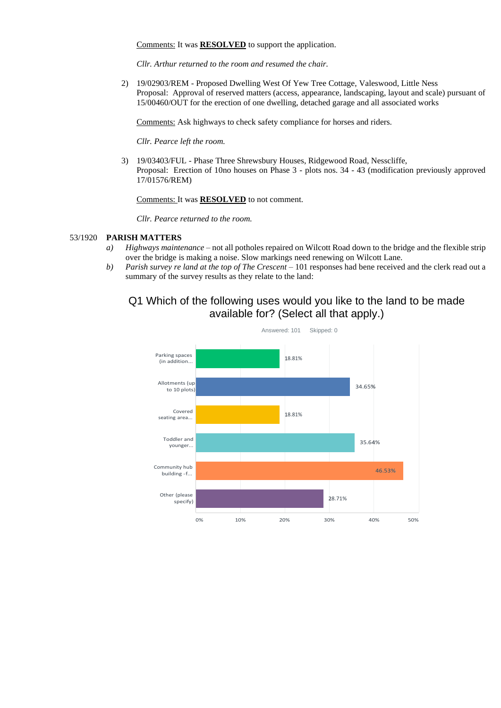Comments: It was **RESOLVED** to support the application.

*Cllr. Arthur returned to the room and resumed the chair.*

2) 19/02903/REM - Proposed Dwelling West Of Yew Tree Cottage, Valeswood, Little Ness Proposal: Approval of reserved matters (access, appearance, landscaping, layout and scale) pursuant of 15/00460/OUT for the erection of one dwelling, detached garage and all associated works

Comments: Ask highways to check safety compliance for horses and riders.

*Cllr. Pearce left the room.*

3) 19/03403/FUL - Phase Three Shrewsbury Houses, Ridgewood Road, Nesscliffe, Proposal: Erection of 10no houses on Phase 3 - plots nos. 34 - 43 (modification previously approved 17/01576/REM)

Comments: It was **RESOLVED** to not comment.

*Cllr. Pearce returned to the room.*

### 53/1920 **PARISH MATTERS**

- *a) Highways maintenance* not all potholes repaired on Wilcott Road down to the bridge and the flexible strip over the bridge is making a noise. Slow markings need renewing on Wilcott Lane.
- *b) Parish survey re land at the top of The Crescent –* 101 responses had bene received and the clerk read out a summary of the survey results as they relate to the land:

# Q1 Which of the following uses would you like to the land to be made available for? (Select all that apply.)

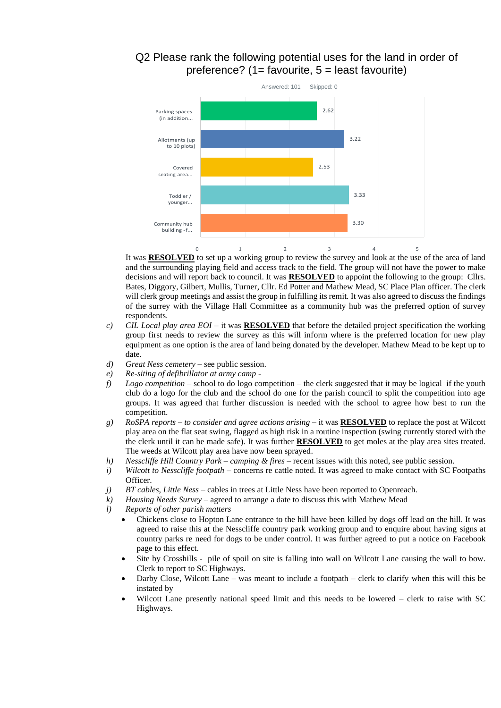## Q2 Please rank the following potential uses for the land in order of preference? (1= favourite, 5 = least favourite)



It was **RESOLVED** to set up a working group to review the survey and look at the use of the area of land and the surrounding playing field and access track to the field. The group will not have the power to make decisions and will report back to council. It was **RESOLVED** to appoint the following to the group: Cllrs. Bates, Diggory, Gilbert, Mullis, Turner, Cllr. Ed Potter and Mathew Mead, SC Place Plan officer. The clerk will clerk group meetings and assist the group in fulfilling its remit. It was also agreed to discuss the findings of the surrey with the Village Hall Committee as a community hub was the preferred option of survey respondents.

- *c) CIL Local play area EOI*  it was **RESOLVED** that before the detailed project specification the working group first needs to review the survey as this will inform where is the preferred location for new play equipment as one option is the area of land being donated by the developer. Mathew Mead to be kept up to date.
- *d) Great Ness cemetery* see public session.
- *e) Re-siting of defibrillator at army camp* -
- *f) Logo competition* school to do logo competition the clerk suggested that it may be logical if the youth club do a logo for the club and the school do one for the parish council to split the competition into age groups. It was agreed that further discussion is needed with the school to agree how best to run the competition.
- *g) RoSPA reports – to consider and agree actions arising* it was **RESOLVED** to replace the post at Wilcott play area on the flat seat swing, flagged as high risk in a routine inspection (swing currently stored with the the clerk until it can be made safe). It was further **RESOLVED** to get moles at the play area sites treated. The weeds at Wilcott play area have now been sprayed.
- *h) Nesscliffe Hill Country Park – camping & fires* recent issues with this noted, see public session.
- *i) Wilcott to Nesscliffe footpath* concerns re cattle noted. It was agreed to make contact with SC Footpaths Officer.
- *j) BT cables, Little Ness* cables in trees at Little Ness have been reported to Openreach.
- *k) Housing Needs Survey* agreed to arrange a date to discuss this with Mathew Mead
- *l) Reports of other parish matters*
	- Chickens close to Hopton Lane entrance to the hill have been killed by dogs off lead on the hill. It was agreed to raise this at the Nesscliffe country park working group and to enquire about having signs at country parks re need for dogs to be under control. It was further agreed to put a notice on Facebook page to this effect.
	- Site by Crosshills pile of spoil on site is falling into wall on Wilcott Lane causing the wall to bow. Clerk to report to SC Highways.
	- Darby Close, Wilcott Lane was meant to include a footpath clerk to clarify when this will this be instated by
	- Wilcott Lane presently national speed limit and this needs to be lowered clerk to raise with SC Highways.